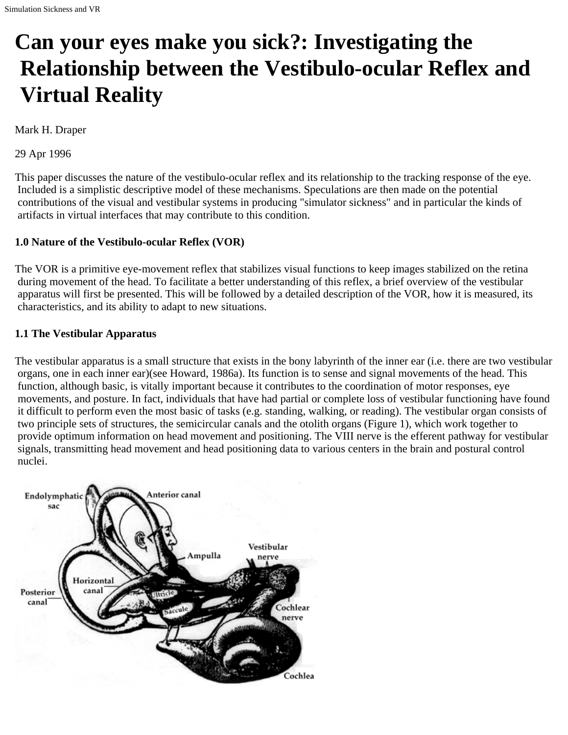# **Can your eyes make you sick?: Investigating the Relationship between the Vestibulo-ocular Reflex and Virtual Reality**

Mark H. Draper

29 Apr 1996

This paper discusses the nature of the vestibulo-ocular reflex and its relationship to the tracking response of the eye. Included is a simplistic descriptive model of these mechanisms. Speculations are then made on the potential contributions of the visual and vestibular systems in producing "simulator sickness" and in particular the kinds of artifacts in virtual interfaces that may contribute to this condition.

## **1.0 Nature of the Vestibulo-ocular Reflex (VOR)**

The VOR is a primitive eye-movement reflex that stabilizes visual functions to keep images stabilized on the retina during movement of the head. To facilitate a better understanding of this reflex, a brief overview of the vestibular apparatus will first be presented. This will be followed by a detailed description of the VOR, how it is measured, its characteristics, and its ability to adapt to new situations.

## **1.1 The Vestibular Apparatus**

The vestibular apparatus is a small structure that exists in the bony labyrinth of the inner ear (i.e. there are two vestibular organs, one in each inner ear)(see Howard, 1986a). Its function is to sense and signal movements of the head. This function, although basic, is vitally important because it contributes to the coordination of motor responses, eye movements, and posture. In fact, individuals that have had partial or complete loss of vestibular functioning have found it difficult to perform even the most basic of tasks (e.g. standing, walking, or reading). The vestibular organ consists of two principle sets of structures, the semicircular canals and the otolith organs (Figure 1), which work together to provide optimum information on head movement and positioning. The VIII nerve is the efferent pathway for vestibular signals, transmitting head movement and head positioning data to various centers in the brain and postural control nuclei.

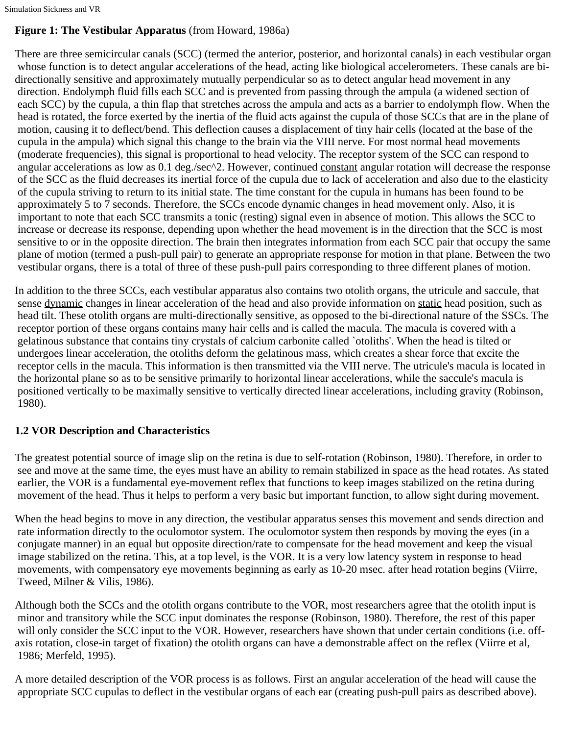Simulation Sickness and VR

# **Figure 1: The Vestibular Apparatus** (from Howard, 1986a)

There are three semicircular canals (SCC) (termed the anterior, posterior, and horizontal canals) in each vestibular organ whose function is to detect angular accelerations of the head, acting like biological accelerometers. These canals are bidirectionally sensitive and approximately mutually perpendicular so as to detect angular head movement in any direction. Endolymph fluid fills each SCC and is prevented from passing through the ampula (a widened section of each SCC) by the cupula, a thin flap that stretches across the ampula and acts as a barrier to endolymph flow. When the head is rotated, the force exerted by the inertia of the fluid acts against the cupula of those SCCs that are in the plane of motion, causing it to deflect/bend. This deflection causes a displacement of tiny hair cells (located at the base of the cupula in the ampula) which signal this change to the brain via the VIII nerve. For most normal head movements (moderate frequencies), this signal is proportional to head velocity. The receptor system of the SCC can respond to angular accelerations as low as 0.1 deg./sec^2. However, continued constant angular rotation will decrease the response of the SCC as the fluid decreases its inertial force of the cupula due to lack of acceleration and also due to the elasticity of the cupula striving to return to its initial state. The time constant for the cupula in humans has been found to be approximately 5 to 7 seconds. Therefore, the SCCs encode dynamic changes in head movement only. Also, it is important to note that each SCC transmits a tonic (resting) signal even in absence of motion. This allows the SCC to increase or decrease its response, depending upon whether the head movement is in the direction that the SCC is most sensitive to or in the opposite direction. The brain then integrates information from each SCC pair that occupy the same plane of motion (termed a push-pull pair) to generate an appropriate response for motion in that plane. Between the two vestibular organs, there is a total of three of these push-pull pairs corresponding to three different planes of motion.

In addition to the three SCCs, each vestibular apparatus also contains two otolith organs, the utricule and saccule, that sense dynamic changes in linear acceleration of the head and also provide information on static head position, such as head tilt. These otolith organs are multi-directionally sensitive, as opposed to the bi-directional nature of the SSCs. The receptor portion of these organs contains many hair cells and is called the macula. The macula is covered with a gelatinous substance that contains tiny crystals of calcium carbonite called `otoliths'. When the head is tilted or undergoes linear acceleration, the otoliths deform the gelatinous mass, which creates a shear force that excite the receptor cells in the macula. This information is then transmitted via the VIII nerve. The utricule's macula is located in the horizontal plane so as to be sensitive primarily to horizontal linear accelerations, while the saccule's macula is positioned vertically to be maximally sensitive to vertically directed linear accelerations, including gravity (Robinson, 1980).

# **1.2 VOR Description and Characteristics**

The greatest potential source of image slip on the retina is due to self-rotation (Robinson, 1980). Therefore, in order to see and move at the same time, the eyes must have an ability to remain stabilized in space as the head rotates. As stated earlier, the VOR is a fundamental eye-movement reflex that functions to keep images stabilized on the retina during movement of the head. Thus it helps to perform a very basic but important function, to allow sight during movement.

When the head begins to move in any direction, the vestibular apparatus senses this movement and sends direction and rate information directly to the oculomotor system. The oculomotor system then responds by moving the eyes (in a conjugate manner) in an equal but opposite direction/rate to compensate for the head movement and keep the visual image stabilized on the retina. This, at a top level, is the VOR. It is a very low latency system in response to head movements, with compensatory eye movements beginning as early as 10-20 msec. after head rotation begins (Viirre, Tweed, Milner & Vilis, 1986).

Although both the SCCs and the otolith organs contribute to the VOR, most researchers agree that the otolith input is minor and transitory while the SCC input dominates the response (Robinson, 1980). Therefore, the rest of this paper will only consider the SCC input to the VOR. However, researchers have shown that under certain conditions (i.e. offaxis rotation, close-in target of fixation) the otolith organs can have a demonstrable affect on the reflex (Viirre et al, 1986; Merfeld, 1995).

A more detailed description of the VOR process is as follows. First an angular acceleration of the head will cause the appropriate SCC cupulas to deflect in the vestibular organs of each ear (creating push-pull pairs as described above).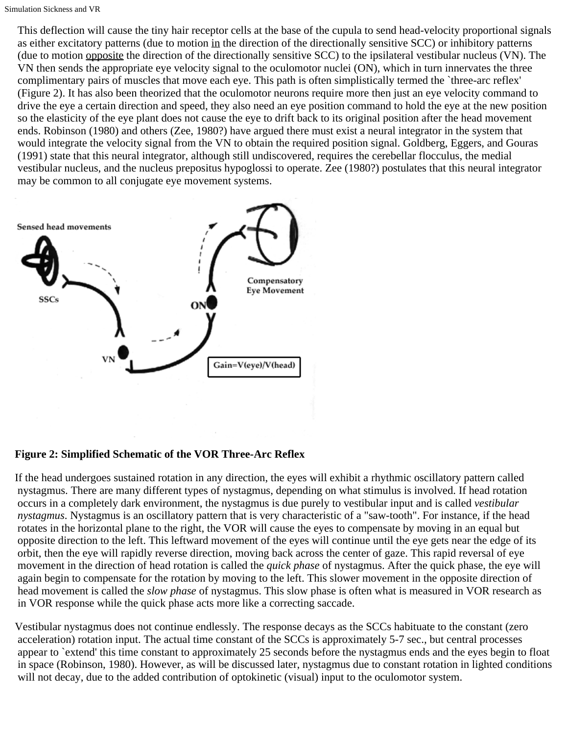This deflection will cause the tiny hair receptor cells at the base of the cupula to send head-velocity proportional signals as either excitatory patterns (due to motion in the direction of the directionally sensitive SCC) or inhibitory patterns (due to motion opposite the direction of the directionally sensitive SCC) to the ipsilateral vestibular nucleus (VN). The VN then sends the appropriate eye velocity signal to the oculomotor nuclei (ON), which in turn innervates the three complimentary pairs of muscles that move each eye. This path is often simplistically termed the `three-arc reflex' (Figure 2). It has also been theorized that the oculomotor neurons require more then just an eye velocity command to drive the eye a certain direction and speed, they also need an eye position command to hold the eye at the new position so the elasticity of the eye plant does not cause the eye to drift back to its original position after the head movement ends. Robinson (1980) and others (Zee, 1980?) have argued there must exist a neural integrator in the system that would integrate the velocity signal from the VN to obtain the required position signal. Goldberg, Eggers, and Gouras (1991) state that this neural integrator, although still undiscovered, requires the cerebellar flocculus, the medial vestibular nucleus, and the nucleus prepositus hypoglossi to operate. Zee (1980?) postulates that this neural integrator may be common to all conjugate eye movement systems.



# **Figure 2: Simplified Schematic of the VOR Three-Arc Reflex**

If the head undergoes sustained rotation in any direction, the eyes will exhibit a rhythmic oscillatory pattern called nystagmus. There are many different types of nystagmus, depending on what stimulus is involved. If head rotation occurs in a completely dark environment, the nystagmus is due purely to vestibular input and is called *vestibular nystagmus*. Nystagmus is an oscillatory pattern that is very characteristic of a "saw-tooth". For instance, if the head rotates in the horizontal plane to the right, the VOR will cause the eyes to compensate by moving in an equal but opposite direction to the left. This leftward movement of the eyes will continue until the eye gets near the edge of its orbit, then the eye will rapidly reverse direction, moving back across the center of gaze. This rapid reversal of eye movement in the direction of head rotation is called the *quick phase* of nystagmus. After the quick phase, the eye will again begin to compensate for the rotation by moving to the left. This slower movement in the opposite direction of head movement is called the *slow phase* of nystagmus. This slow phase is often what is measured in VOR research as in VOR response while the quick phase acts more like a correcting saccade.

Vestibular nystagmus does not continue endlessly. The response decays as the SCCs habituate to the constant (zero acceleration) rotation input. The actual time constant of the SCCs is approximately 5-7 sec., but central processes appear to `extend' this time constant to approximately 25 seconds before the nystagmus ends and the eyes begin to float in space (Robinson, 1980). However, as will be discussed later, nystagmus due to constant rotation in lighted conditions will not decay, due to the added contribution of optokinetic (visual) input to the oculomotor system.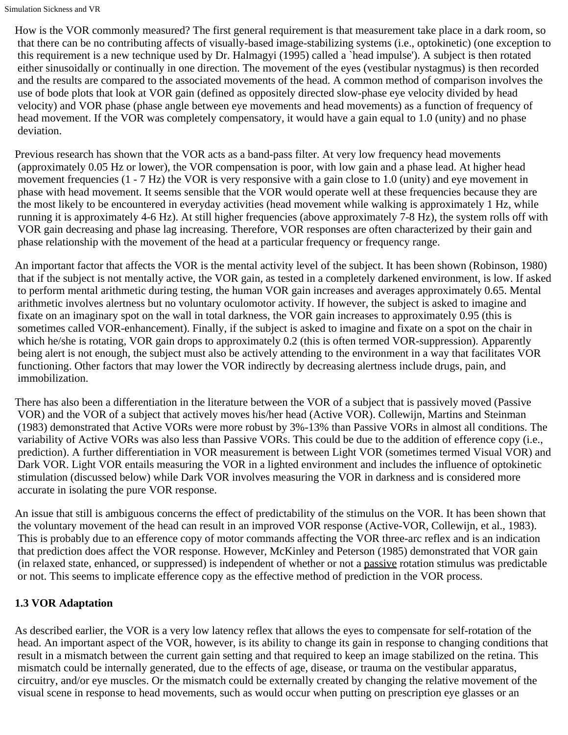How is the VOR commonly measured? The first general requirement is that measurement take place in a dark room, so that there can be no contributing affects of visually-based image-stabilizing systems (i.e., optokinetic) (one exception to this requirement is a new technique used by Dr. Halmagyi (1995) called a `head impulse'). A subject is then rotated either sinusoidally or continually in one direction. The movement of the eyes (vestibular nystagmus) is then recorded and the results are compared to the associated movements of the head. A common method of comparison involves the use of bode plots that look at VOR gain (defined as oppositely directed slow-phase eye velocity divided by head velocity) and VOR phase (phase angle between eye movements and head movements) as a function of frequency of head movement. If the VOR was completely compensatory, it would have a gain equal to 1.0 (unity) and no phase deviation.

Previous research has shown that the VOR acts as a band-pass filter. At very low frequency head movements (approximately 0.05 Hz or lower), the VOR compensation is poor, with low gain and a phase lead. At higher head movement frequencies (1 - 7 Hz) the VOR is very responsive with a gain close to 1.0 (unity) and eye movement in phase with head movement. It seems sensible that the VOR would operate well at these frequencies because they are the most likely to be encountered in everyday activities (head movement while walking is approximately 1 Hz, while running it is approximately 4-6 Hz). At still higher frequencies (above approximately 7-8 Hz), the system rolls off with VOR gain decreasing and phase lag increasing. Therefore, VOR responses are often characterized by their gain and phase relationship with the movement of the head at a particular frequency or frequency range.

An important factor that affects the VOR is the mental activity level of the subject. It has been shown (Robinson, 1980) that if the subject is not mentally active, the VOR gain, as tested in a completely darkened environment, is low. If asked to perform mental arithmetic during testing, the human VOR gain increases and averages approximately 0.65. Mental arithmetic involves alertness but no voluntary oculomotor activity. If however, the subject is asked to imagine and fixate on an imaginary spot on the wall in total darkness, the VOR gain increases to approximately 0.95 (this is sometimes called VOR-enhancement). Finally, if the subject is asked to imagine and fixate on a spot on the chair in which he/she is rotating, VOR gain drops to approximately 0.2 (this is often termed VOR-suppression). Apparently being alert is not enough, the subject must also be actively attending to the environment in a way that facilitates VOR functioning. Other factors that may lower the VOR indirectly by decreasing alertness include drugs, pain, and immobilization.

There has also been a differentiation in the literature between the VOR of a subject that is passively moved (Passive VOR) and the VOR of a subject that actively moves his/her head (Active VOR). Collewijn, Martins and Steinman (1983) demonstrated that Active VORs were more robust by 3%-13% than Passive VORs in almost all conditions. The variability of Active VORs was also less than Passive VORs. This could be due to the addition of efference copy (i.e., prediction). A further differentiation in VOR measurement is between Light VOR (sometimes termed Visual VOR) and Dark VOR. Light VOR entails measuring the VOR in a lighted environment and includes the influence of optokinetic stimulation (discussed below) while Dark VOR involves measuring the VOR in darkness and is considered more accurate in isolating the pure VOR response.

An issue that still is ambiguous concerns the effect of predictability of the stimulus on the VOR. It has been shown that the voluntary movement of the head can result in an improved VOR response (Active-VOR, Collewijn, et al., 1983). This is probably due to an efference copy of motor commands affecting the VOR three-arc reflex and is an indication that prediction does affect the VOR response. However, McKinley and Peterson (1985) demonstrated that VOR gain (in relaxed state, enhanced, or suppressed) is independent of whether or not a passive rotation stimulus was predictable or not. This seems to implicate efference copy as the effective method of prediction in the VOR process.

# **1.3 VOR Adaptation**

As described earlier, the VOR is a very low latency reflex that allows the eyes to compensate for self-rotation of the head. An important aspect of the VOR, however, is its ability to change its gain in response to changing conditions that result in a mismatch between the current gain setting and that required to keep an image stabilized on the retina. This mismatch could be internally generated, due to the effects of age, disease, or trauma on the vestibular apparatus, circuitry, and/or eye muscles. Or the mismatch could be externally created by changing the relative movement of the visual scene in response to head movements, such as would occur when putting on prescription eye glasses or an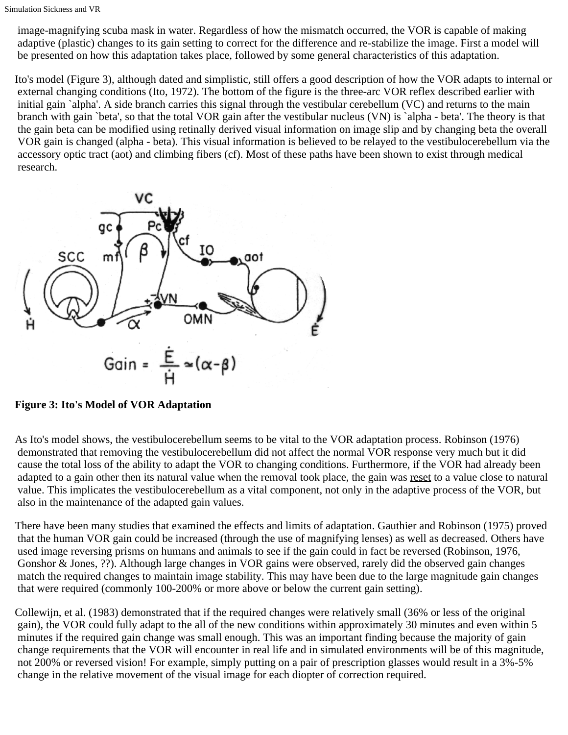image-magnifying scuba mask in water. Regardless of how the mismatch occurred, the VOR is capable of making adaptive (plastic) changes to its gain setting to correct for the difference and re-stabilize the image. First a model will be presented on how this adaptation takes place, followed by some general characteristics of this adaptation.

Ito's model (Figure 3), although dated and simplistic, still offers a good description of how the VOR adapts to internal or external changing conditions (Ito, 1972). The bottom of the figure is the three-arc VOR reflex described earlier with initial gain `alpha'. A side branch carries this signal through the vestibular cerebellum (VC) and returns to the main branch with gain `beta', so that the total VOR gain after the vestibular nucleus (VN) is `alpha - beta'. The theory is that the gain beta can be modified using retinally derived visual information on image slip and by changing beta the overall VOR gain is changed (alpha - beta). This visual information is believed to be relayed to the vestibulocerebellum via the accessory optic tract (aot) and climbing fibers (cf). Most of these paths have been shown to exist through medical research.



# **Figure 3: Ito's Model of VOR Adaptation**

As Ito's model shows, the vestibulocerebellum seems to be vital to the VOR adaptation process. Robinson (1976) demonstrated that removing the vestibulocerebellum did not affect the normal VOR response very much but it did cause the total loss of the ability to adapt the VOR to changing conditions. Furthermore, if the VOR had already been adapted to a gain other then its natural value when the removal took place, the gain was reset to a value close to natural value. This implicates the vestibulocerebellum as a vital component, not only in the adaptive process of the VOR, but also in the maintenance of the adapted gain values.

There have been many studies that examined the effects and limits of adaptation. Gauthier and Robinson (1975) proved that the human VOR gain could be increased (through the use of magnifying lenses) as well as decreased. Others have used image reversing prisms on humans and animals to see if the gain could in fact be reversed (Robinson, 1976, Gonshor & Jones, ??). Although large changes in VOR gains were observed, rarely did the observed gain changes match the required changes to maintain image stability. This may have been due to the large magnitude gain changes that were required (commonly 100-200% or more above or below the current gain setting).

Collewijn, et al. (1983) demonstrated that if the required changes were relatively small (36% or less of the original gain), the VOR could fully adapt to the all of the new conditions within approximately 30 minutes and even within 5 minutes if the required gain change was small enough. This was an important finding because the majority of gain change requirements that the VOR will encounter in real life and in simulated environments will be of this magnitude, not 200% or reversed vision! For example, simply putting on a pair of prescription glasses would result in a 3%-5% change in the relative movement of the visual image for each diopter of correction required.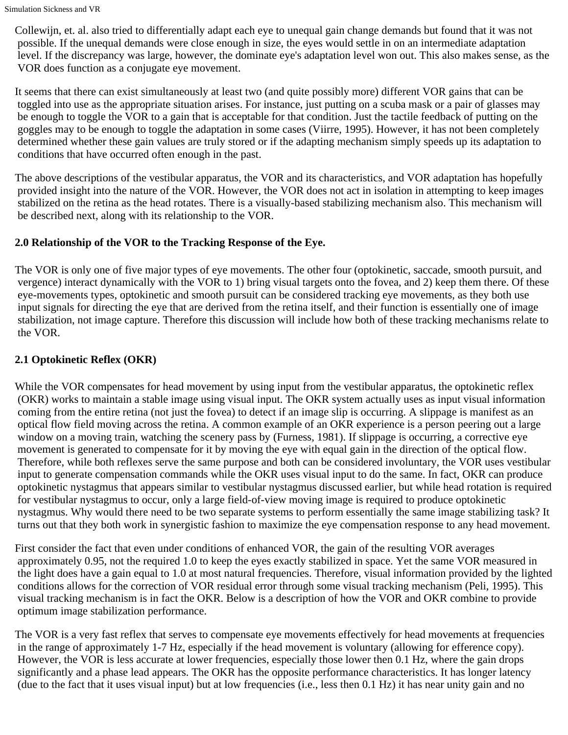Collewijn, et. al. also tried to differentially adapt each eye to unequal gain change demands but found that it was not possible. If the unequal demands were close enough in size, the eyes would settle in on an intermediate adaptation level. If the discrepancy was large, however, the dominate eye's adaptation level won out. This also makes sense, as the VOR does function as a conjugate eye movement.

It seems that there can exist simultaneously at least two (and quite possibly more) different VOR gains that can be toggled into use as the appropriate situation arises. For instance, just putting on a scuba mask or a pair of glasses may be enough to toggle the VOR to a gain that is acceptable for that condition. Just the tactile feedback of putting on the goggles may to be enough to toggle the adaptation in some cases (Viirre, 1995). However, it has not been completely determined whether these gain values are truly stored or if the adapting mechanism simply speeds up its adaptation to conditions that have occurred often enough in the past.

The above descriptions of the vestibular apparatus, the VOR and its characteristics, and VOR adaptation has hopefully provided insight into the nature of the VOR. However, the VOR does not act in isolation in attempting to keep images stabilized on the retina as the head rotates. There is a visually-based stabilizing mechanism also. This mechanism will be described next, along with its relationship to the VOR.

# **2.0 Relationship of the VOR to the Tracking Response of the Eye.**

The VOR is only one of five major types of eye movements. The other four (optokinetic, saccade, smooth pursuit, and vergence) interact dynamically with the VOR to 1) bring visual targets onto the fovea, and 2) keep them there. Of these eye-movements types, optokinetic and smooth pursuit can be considered tracking eye movements, as they both use input signals for directing the eye that are derived from the retina itself, and their function is essentially one of image stabilization, not image capture. Therefore this discussion will include how both of these tracking mechanisms relate to the VOR.

# **2.1 Optokinetic Reflex (OKR)**

While the VOR compensates for head movement by using input from the vestibular apparatus, the optokinetic reflex (OKR) works to maintain a stable image using visual input. The OKR system actually uses as input visual information coming from the entire retina (not just the fovea) to detect if an image slip is occurring. A slippage is manifest as an optical flow field moving across the retina. A common example of an OKR experience is a person peering out a large window on a moving train, watching the scenery pass by (Furness, 1981). If slippage is occurring, a corrective eye movement is generated to compensate for it by moving the eye with equal gain in the direction of the optical flow. Therefore, while both reflexes serve the same purpose and both can be considered involuntary, the VOR uses vestibular input to generate compensation commands while the OKR uses visual input to do the same. In fact, OKR can produce optokinetic nystagmus that appears similar to vestibular nystagmus discussed earlier, but while head rotation is required for vestibular nystagmus to occur, only a large field-of-view moving image is required to produce optokinetic nystagmus. Why would there need to be two separate systems to perform essentially the same image stabilizing task? It turns out that they both work in synergistic fashion to maximize the eye compensation response to any head movement.

First consider the fact that even under conditions of enhanced VOR, the gain of the resulting VOR averages approximately 0.95, not the required 1.0 to keep the eyes exactly stabilized in space. Yet the same VOR measured in the light does have a gain equal to 1.0 at most natural frequencies. Therefore, visual information provided by the lighted conditions allows for the correction of VOR residual error through some visual tracking mechanism (Peli, 1995). This visual tracking mechanism is in fact the OKR. Below is a description of how the VOR and OKR combine to provide optimum image stabilization performance.

The VOR is a very fast reflex that serves to compensate eye movements effectively for head movements at frequencies in the range of approximately 1-7 Hz, especially if the head movement is voluntary (allowing for efference copy). However, the VOR is less accurate at lower frequencies, especially those lower then 0.1 Hz, where the gain drops significantly and a phase lead appears. The OKR has the opposite performance characteristics. It has longer latency (due to the fact that it uses visual input) but at low frequencies (i.e., less then 0.1 Hz) it has near unity gain and no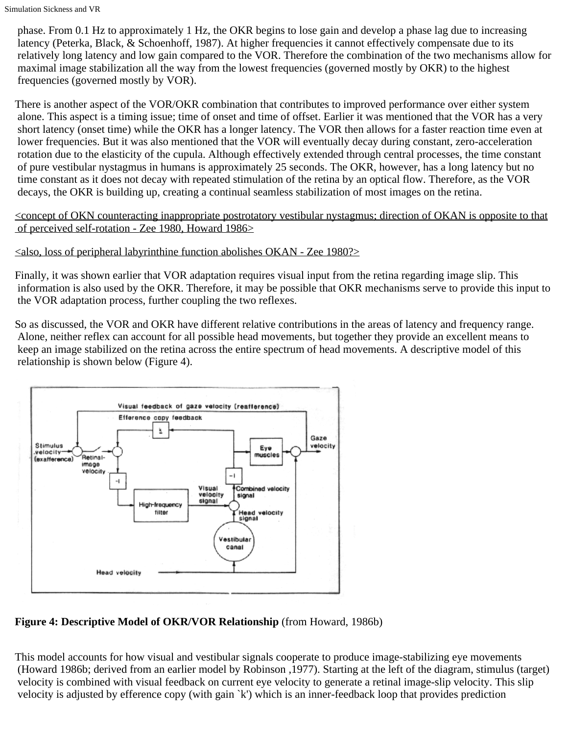phase. From 0.1 Hz to approximately 1 Hz, the OKR begins to lose gain and develop a phase lag due to increasing latency (Peterka, Black, & Schoenhoff, 1987). At higher frequencies it cannot effectively compensate due to its relatively long latency and low gain compared to the VOR. Therefore the combination of the two mechanisms allow for maximal image stabilization all the way from the lowest frequencies (governed mostly by OKR) to the highest frequencies (governed mostly by VOR).

There is another aspect of the VOR/OKR combination that contributes to improved performance over either system alone. This aspect is a timing issue; time of onset and time of offset. Earlier it was mentioned that the VOR has a very short latency (onset time) while the OKR has a longer latency. The VOR then allows for a faster reaction time even at lower frequencies. But it was also mentioned that the VOR will eventually decay during constant, zero-acceleration rotation due to the elasticity of the cupula. Although effectively extended through central processes, the time constant of pure vestibular nystagmus in humans is approximately 25 seconds. The OKR, however, has a long latency but no time constant as it does not decay with repeated stimulation of the retina by an optical flow. Therefore, as the VOR decays, the OKR is building up, creating a continual seamless stabilization of most images on the retina.

#### <concept of OKN counteracting inappropriate postrotatory vestibular nystagmus; direction of OKAN is opposite to that of perceived self-rotation - Zee 1980, Howard 1986>

## $\le$ also, loss of peripheral labyrinthine function abolishes OKAN - Zee 1980?>

Finally, it was shown earlier that VOR adaptation requires visual input from the retina regarding image slip. This information is also used by the OKR. Therefore, it may be possible that OKR mechanisms serve to provide this input to the VOR adaptation process, further coupling the two reflexes.

So as discussed, the VOR and OKR have different relative contributions in the areas of latency and frequency range. Alone, neither reflex can account for all possible head movements, but together they provide an excellent means to keep an image stabilized on the retina across the entire spectrum of head movements. A descriptive model of this relationship is shown below (Figure 4).



# **Figure 4: Descriptive Model of OKR/VOR Relationship** (from Howard, 1986b)

This model accounts for how visual and vestibular signals cooperate to produce image-stabilizing eye movements (Howard 1986b; derived from an earlier model by Robinson ,1977). Starting at the left of the diagram, stimulus (target) velocity is combined with visual feedback on current eye velocity to generate a retinal image-slip velocity. This slip velocity is adjusted by efference copy (with gain `k') which is an inner-feedback loop that provides prediction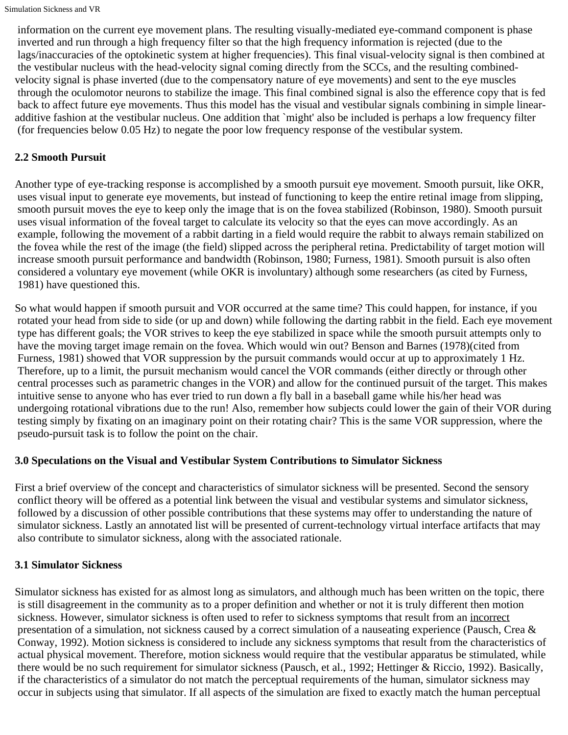information on the current eye movement plans. The resulting visually-mediated eye-command component is phase inverted and run through a high frequency filter so that the high frequency information is rejected (due to the lags/inaccuracies of the optokinetic system at higher frequencies). This final visual-velocity signal is then combined at the vestibular nucleus with the head-velocity signal coming directly from the SCCs, and the resulting combinedvelocity signal is phase inverted (due to the compensatory nature of eye movements) and sent to the eye muscles through the oculomotor neurons to stabilize the image. This final combined signal is also the efference copy that is fed back to affect future eye movements. Thus this model has the visual and vestibular signals combining in simple linearadditive fashion at the vestibular nucleus. One addition that `might' also be included is perhaps a low frequency filter (for frequencies below 0.05 Hz) to negate the poor low frequency response of the vestibular system.

## **2.2 Smooth Pursuit**

Another type of eye-tracking response is accomplished by a smooth pursuit eye movement. Smooth pursuit, like OKR, uses visual input to generate eye movements, but instead of functioning to keep the entire retinal image from slipping, smooth pursuit moves the eye to keep only the image that is on the fovea stabilized (Robinson, 1980). Smooth pursuit uses visual information of the foveal target to calculate its velocity so that the eyes can move accordingly. As an example, following the movement of a rabbit darting in a field would require the rabbit to always remain stabilized on the fovea while the rest of the image (the field) slipped across the peripheral retina. Predictability of target motion will increase smooth pursuit performance and bandwidth (Robinson, 1980; Furness, 1981). Smooth pursuit is also often considered a voluntary eye movement (while OKR is involuntary) although some researchers (as cited by Furness, 1981) have questioned this.

So what would happen if smooth pursuit and VOR occurred at the same time? This could happen, for instance, if you rotated your head from side to side (or up and down) while following the darting rabbit in the field. Each eye movement type has different goals; the VOR strives to keep the eye stabilized in space while the smooth pursuit attempts only to have the moving target image remain on the fovea. Which would win out? Benson and Barnes (1978)(cited from Furness, 1981) showed that VOR suppression by the pursuit commands would occur at up to approximately 1 Hz. Therefore, up to a limit, the pursuit mechanism would cancel the VOR commands (either directly or through other central processes such as parametric changes in the VOR) and allow for the continued pursuit of the target. This makes intuitive sense to anyone who has ever tried to run down a fly ball in a baseball game while his/her head was undergoing rotational vibrations due to the run! Also, remember how subjects could lower the gain of their VOR during testing simply by fixating on an imaginary point on their rotating chair? This is the same VOR suppression, where the pseudo-pursuit task is to follow the point on the chair.

#### **3.0 Speculations on the Visual and Vestibular System Contributions to Simulator Sickness**

First a brief overview of the concept and characteristics of simulator sickness will be presented. Second the sensory conflict theory will be offered as a potential link between the visual and vestibular systems and simulator sickness, followed by a discussion of other possible contributions that these systems may offer to understanding the nature of simulator sickness. Lastly an annotated list will be presented of current-technology virtual interface artifacts that may also contribute to simulator sickness, along with the associated rationale.

#### **3.1 Simulator Sickness**

Simulator sickness has existed for as almost long as simulators, and although much has been written on the topic, there is still disagreement in the community as to a proper definition and whether or not it is truly different then motion sickness. However, simulator sickness is often used to refer to sickness symptoms that result from an incorrect presentation of a simulation, not sickness caused by a correct simulation of a nauseating experience (Pausch, Crea & Conway, 1992). Motion sickness is considered to include any sickness symptoms that result from the characteristics of actual physical movement. Therefore, motion sickness would require that the vestibular apparatus be stimulated, while there would be no such requirement for simulator sickness (Pausch, et al., 1992; Hettinger & Riccio, 1992). Basically, if the characteristics of a simulator do not match the perceptual requirements of the human, simulator sickness may occur in subjects using that simulator. If all aspects of the simulation are fixed to exactly match the human perceptual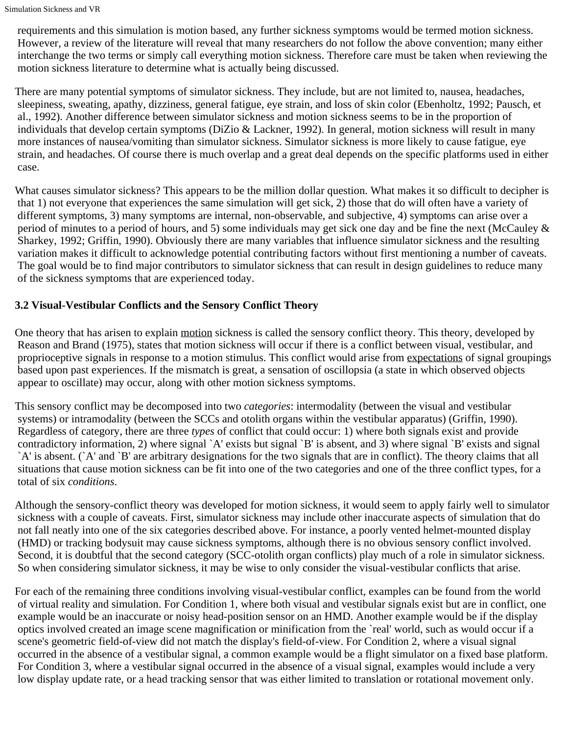requirements and this simulation is motion based, any further sickness symptoms would be termed motion sickness. However, a review of the literature will reveal that many researchers do not follow the above convention; many either interchange the two terms or simply call everything motion sickness. Therefore care must be taken when reviewing the motion sickness literature to determine what is actually being discussed.

There are many potential symptoms of simulator sickness. They include, but are not limited to, nausea, headaches, sleepiness, sweating, apathy, dizziness, general fatigue, eye strain, and loss of skin color (Ebenholtz, 1992; Pausch, et al., 1992). Another difference between simulator sickness and motion sickness seems to be in the proportion of individuals that develop certain symptoms (DiZio & Lackner, 1992). In general, motion sickness will result in many more instances of nausea/vomiting than simulator sickness. Simulator sickness is more likely to cause fatigue, eye strain, and headaches. Of course there is much overlap and a great deal depends on the specific platforms used in either case.

What causes simulator sickness? This appears to be the million dollar question. What makes it so difficult to decipher is that 1) not everyone that experiences the same simulation will get sick, 2) those that do will often have a variety of different symptoms, 3) many symptoms are internal, non-observable, and subjective, 4) symptoms can arise over a period of minutes to a period of hours, and 5) some individuals may get sick one day and be fine the next (McCauley & Sharkey, 1992; Griffin, 1990). Obviously there are many variables that influence simulator sickness and the resulting variation makes it difficult to acknowledge potential contributing factors without first mentioning a number of caveats. The goal would be to find major contributors to simulator sickness that can result in design guidelines to reduce many of the sickness symptoms that are experienced today.

# **3.2 Visual-Vestibular Conflicts and the Sensory Conflict Theory**

One theory that has arisen to explain motion sickness is called the sensory conflict theory. This theory, developed by Reason and Brand (1975), states that motion sickness will occur if there is a conflict between visual, vestibular, and proprioceptive signals in response to a motion stimulus. This conflict would arise from expectations of signal groupings based upon past experiences. If the mismatch is great, a sensation of oscillopsia (a state in which observed objects appear to oscillate) may occur, along with other motion sickness symptoms.

This sensory conflict may be decomposed into two *categories*: intermodality (between the visual and vestibular systems) or intramodality (between the SCCs and otolith organs within the vestibular apparatus) (Griffin, 1990). Regardless of category, there are three *types* of conflict that could occur: 1) where both signals exist and provide contradictory information, 2) where signal `A' exists but signal `B' is absent, and 3) where signal `B' exists and signal `A' is absent. (`A' and `B' are arbitrary designations for the two signals that are in conflict). The theory claims that all situations that cause motion sickness can be fit into one of the two categories and one of the three conflict types, for a total of six *conditions*.

Although the sensory-conflict theory was developed for motion sickness, it would seem to apply fairly well to simulator sickness with a couple of caveats. First, simulator sickness may include other inaccurate aspects of simulation that do not fall neatly into one of the six categories described above. For instance, a poorly vented helmet-mounted display (HMD) or tracking bodysuit may cause sickness symptoms, although there is no obvious sensory conflict involved. Second, it is doubtful that the second category (SCC-otolith organ conflicts) play much of a role in simulator sickness. So when considering simulator sickness, it may be wise to only consider the visual-vestibular conflicts that arise.

For each of the remaining three conditions involving visual-vestibular conflict, examples can be found from the world of virtual reality and simulation. For Condition 1, where both visual and vestibular signals exist but are in conflict, one example would be an inaccurate or noisy head-position sensor on an HMD. Another example would be if the display optics involved created an image scene magnification or minification from the `real' world, such as would occur if a scene's geometric field-of-view did not match the display's field-of-view. For Condition 2, where a visual signal occurred in the absence of a vestibular signal, a common example would be a flight simulator on a fixed base platform. For Condition 3, where a vestibular signal occurred in the absence of a visual signal, examples would include a very low display update rate, or a head tracking sensor that was either limited to translation or rotational movement only.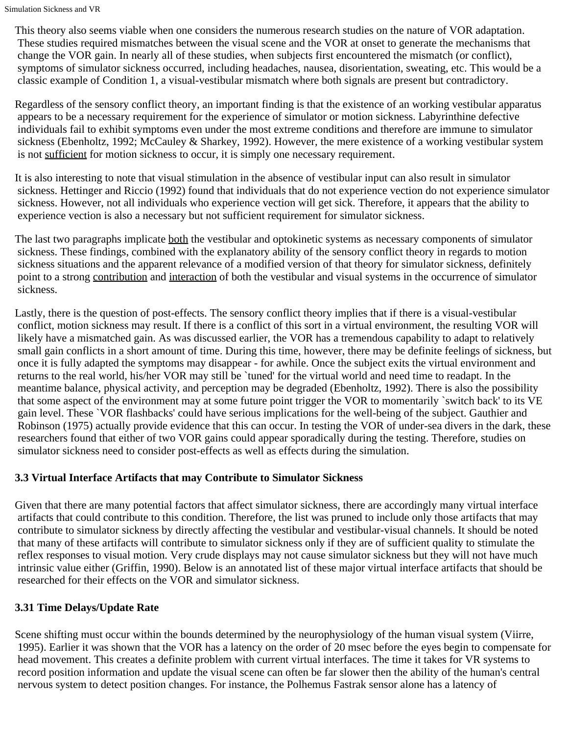This theory also seems viable when one considers the numerous research studies on the nature of VOR adaptation. These studies required mismatches between the visual scene and the VOR at onset to generate the mechanisms that change the VOR gain. In nearly all of these studies, when subjects first encountered the mismatch (or conflict), symptoms of simulator sickness occurred, including headaches, nausea, disorientation, sweating, etc. This would be a classic example of Condition 1, a visual-vestibular mismatch where both signals are present but contradictory.

Regardless of the sensory conflict theory, an important finding is that the existence of an working vestibular apparatus appears to be a necessary requirement for the experience of simulator or motion sickness. Labyrinthine defective individuals fail to exhibit symptoms even under the most extreme conditions and therefore are immune to simulator sickness (Ebenholtz, 1992; McCauley & Sharkey, 1992). However, the mere existence of a working vestibular system is not sufficient for motion sickness to occur, it is simply one necessary requirement.

It is also interesting to note that visual stimulation in the absence of vestibular input can also result in simulator sickness. Hettinger and Riccio (1992) found that individuals that do not experience vection do not experience simulator sickness. However, not all individuals who experience vection will get sick. Therefore, it appears that the ability to experience vection is also a necessary but not sufficient requirement for simulator sickness.

The last two paragraphs implicate both the vestibular and optokinetic systems as necessary components of simulator sickness. These findings, combined with the explanatory ability of the sensory conflict theory in regards to motion sickness situations and the apparent relevance of a modified version of that theory for simulator sickness, definitely point to a strong contribution and interaction of both the vestibular and visual systems in the occurrence of simulator sickness.

Lastly, there is the question of post-effects. The sensory conflict theory implies that if there is a visual-vestibular conflict, motion sickness may result. If there is a conflict of this sort in a virtual environment, the resulting VOR will likely have a mismatched gain. As was discussed earlier, the VOR has a tremendous capability to adapt to relatively small gain conflicts in a short amount of time. During this time, however, there may be definite feelings of sickness, but once it is fully adapted the symptoms may disappear - for awhile. Once the subject exits the virtual environment and returns to the real world, his/her VOR may still be `tuned' for the virtual world and need time to readapt. In the meantime balance, physical activity, and perception may be degraded (Ebenholtz, 1992). There is also the possibility that some aspect of the environment may at some future point trigger the VOR to momentarily `switch back' to its VE gain level. These `VOR flashbacks' could have serious implications for the well-being of the subject. Gauthier and Robinson (1975) actually provide evidence that this can occur. In testing the VOR of under-sea divers in the dark, these researchers found that either of two VOR gains could appear sporadically during the testing. Therefore, studies on simulator sickness need to consider post-effects as well as effects during the simulation.

# **3.3 Virtual Interface Artifacts that may Contribute to Simulator Sickness**

Given that there are many potential factors that affect simulator sickness, there are accordingly many virtual interface artifacts that could contribute to this condition. Therefore, the list was pruned to include only those artifacts that may contribute to simulator sickness by directly affecting the vestibular and vestibular-visual channels. It should be noted that many of these artifacts will contribute to simulator sickness only if they are of sufficient quality to stimulate the reflex responses to visual motion. Very crude displays may not cause simulator sickness but they will not have much intrinsic value either (Griffin, 1990). Below is an annotated list of these major virtual interface artifacts that should be researched for their effects on the VOR and simulator sickness.

# **3.31 Time Delays/Update Rate**

Scene shifting must occur within the bounds determined by the neurophysiology of the human visual system (Viirre, 1995). Earlier it was shown that the VOR has a latency on the order of 20 msec before the eyes begin to compensate for head movement. This creates a definite problem with current virtual interfaces. The time it takes for VR systems to record position information and update the visual scene can often be far slower then the ability of the human's central nervous system to detect position changes. For instance, the Polhemus Fastrak sensor alone has a latency of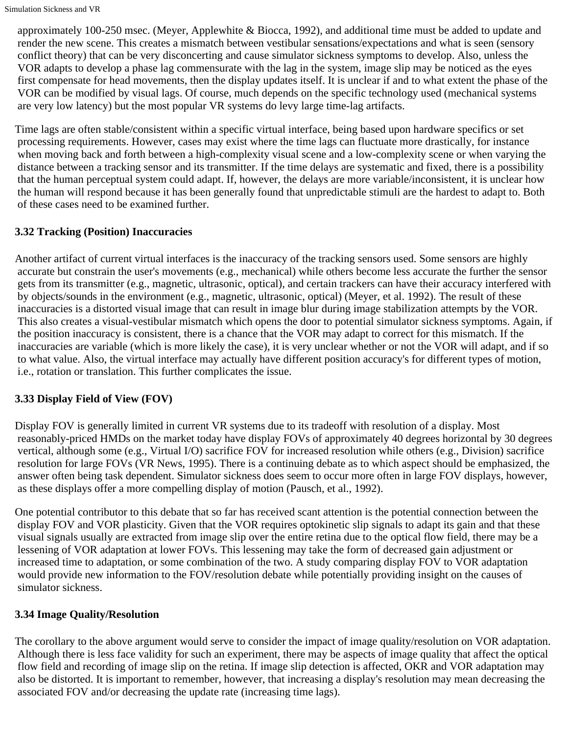approximately 100-250 msec. (Meyer, Applewhite & Biocca, 1992), and additional time must be added to update and render the new scene. This creates a mismatch between vestibular sensations/expectations and what is seen (sensory conflict theory) that can be very disconcerting and cause simulator sickness symptoms to develop. Also, unless the VOR adapts to develop a phase lag commensurate with the lag in the system, image slip may be noticed as the eyes first compensate for head movements, then the display updates itself. It is unclear if and to what extent the phase of the VOR can be modified by visual lags. Of course, much depends on the specific technology used (mechanical systems are very low latency) but the most popular VR systems do levy large time-lag artifacts.

Time lags are often stable/consistent within a specific virtual interface, being based upon hardware specifics or set processing requirements. However, cases may exist where the time lags can fluctuate more drastically, for instance when moving back and forth between a high-complexity visual scene and a low-complexity scene or when varying the distance between a tracking sensor and its transmitter. If the time delays are systematic and fixed, there is a possibility that the human perceptual system could adapt. If, however, the delays are more variable/inconsistent, it is unclear how the human will respond because it has been generally found that unpredictable stimuli are the hardest to adapt to. Both of these cases need to be examined further.

# **3.32 Tracking (Position) Inaccuracies**

Another artifact of current virtual interfaces is the inaccuracy of the tracking sensors used. Some sensors are highly accurate but constrain the user's movements (e.g., mechanical) while others become less accurate the further the sensor gets from its transmitter (e.g., magnetic, ultrasonic, optical), and certain trackers can have their accuracy interfered with by objects/sounds in the environment (e.g., magnetic, ultrasonic, optical) (Meyer, et al. 1992). The result of these inaccuracies is a distorted visual image that can result in image blur during image stabilization attempts by the VOR. This also creates a visual-vestibular mismatch which opens the door to potential simulator sickness symptoms. Again, if the position inaccuracy is consistent, there is a chance that the VOR may adapt to correct for this mismatch. If the inaccuracies are variable (which is more likely the case), it is very unclear whether or not the VOR will adapt, and if so to what value. Also, the virtual interface may actually have different position accuracy's for different types of motion, i.e., rotation or translation. This further complicates the issue.

# **3.33 Display Field of View (FOV)**

Display FOV is generally limited in current VR systems due to its tradeoff with resolution of a display. Most reasonably-priced HMDs on the market today have display FOVs of approximately 40 degrees horizontal by 30 degrees vertical, although some (e.g., Virtual I/O) sacrifice FOV for increased resolution while others (e.g., Division) sacrifice resolution for large FOVs (VR News, 1995). There is a continuing debate as to which aspect should be emphasized, the answer often being task dependent. Simulator sickness does seem to occur more often in large FOV displays, however, as these displays offer a more compelling display of motion (Pausch, et al., 1992).

One potential contributor to this debate that so far has received scant attention is the potential connection between the display FOV and VOR plasticity. Given that the VOR requires optokinetic slip signals to adapt its gain and that these visual signals usually are extracted from image slip over the entire retina due to the optical flow field, there may be a lessening of VOR adaptation at lower FOVs. This lessening may take the form of decreased gain adjustment or increased time to adaptation, or some combination of the two. A study comparing display FOV to VOR adaptation would provide new information to the FOV/resolution debate while potentially providing insight on the causes of simulator sickness.

# **3.34 Image Quality/Resolution**

The corollary to the above argument would serve to consider the impact of image quality/resolution on VOR adaptation. Although there is less face validity for such an experiment, there may be aspects of image quality that affect the optical flow field and recording of image slip on the retina. If image slip detection is affected, OKR and VOR adaptation may also be distorted. It is important to remember, however, that increasing a display's resolution may mean decreasing the associated FOV and/or decreasing the update rate (increasing time lags).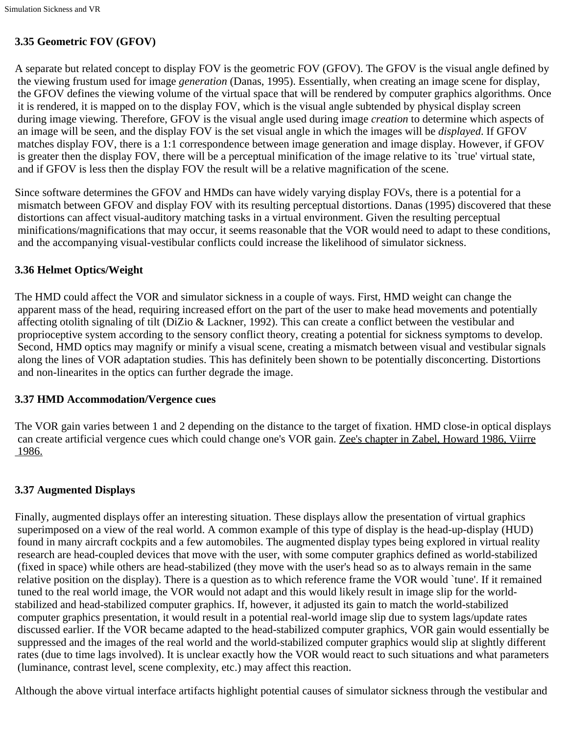# **3.35 Geometric FOV (GFOV)**

A separate but related concept to display FOV is the geometric FOV (GFOV). The GFOV is the visual angle defined by the viewing frustum used for image *generation* (Danas, 1995). Essentially, when creating an image scene for display, the GFOV defines the viewing volume of the virtual space that will be rendered by computer graphics algorithms. Once it is rendered, it is mapped on to the display FOV, which is the visual angle subtended by physical display screen during image viewing. Therefore, GFOV is the visual angle used during image *creation* to determine which aspects of an image will be seen, and the display FOV is the set visual angle in which the images will be *displayed*. If GFOV matches display FOV, there is a 1:1 correspondence between image generation and image display. However, if GFOV is greater then the display FOV, there will be a perceptual minification of the image relative to its `true' virtual state, and if GFOV is less then the display FOV the result will be a relative magnification of the scene.

Since software determines the GFOV and HMDs can have widely varying display FOVs, there is a potential for a mismatch between GFOV and display FOV with its resulting perceptual distortions. Danas (1995) discovered that these distortions can affect visual-auditory matching tasks in a virtual environment. Given the resulting perceptual minifications/magnifications that may occur, it seems reasonable that the VOR would need to adapt to these conditions, and the accompanying visual-vestibular conflicts could increase the likelihood of simulator sickness.

# **3.36 Helmet Optics/Weight**

The HMD could affect the VOR and simulator sickness in a couple of ways. First, HMD weight can change the apparent mass of the head, requiring increased effort on the part of the user to make head movements and potentially affecting otolith signaling of tilt (DiZio & Lackner, 1992). This can create a conflict between the vestibular and proprioceptive system according to the sensory conflict theory, creating a potential for sickness symptoms to develop. Second, HMD optics may magnify or minify a visual scene, creating a mismatch between visual and vestibular signals along the lines of VOR adaptation studies. This has definitely been shown to be potentially disconcerting. Distortions and non-linearites in the optics can further degrade the image.

#### **3.37 HMD Accommodation/Vergence cues**

The VOR gain varies between 1 and 2 depending on the distance to the target of fixation. HMD close-in optical displays can create artificial vergence cues which could change one's VOR gain. Zee's chapter in Zabel, Howard 1986, Viirre 1986.

# **3.37 Augmented Displays**

Finally, augmented displays offer an interesting situation. These displays allow the presentation of virtual graphics superimposed on a view of the real world. A common example of this type of display is the head-up-display (HUD) found in many aircraft cockpits and a few automobiles. The augmented display types being explored in virtual reality research are head-coupled devices that move with the user, with some computer graphics defined as world-stabilized (fixed in space) while others are head-stabilized (they move with the user's head so as to always remain in the same relative position on the display). There is a question as to which reference frame the VOR would `tune'. If it remained tuned to the real world image, the VOR would not adapt and this would likely result in image slip for the worldstabilized and head-stabilized computer graphics. If, however, it adjusted its gain to match the world-stabilized computer graphics presentation, it would result in a potential real-world image slip due to system lags/update rates discussed earlier. If the VOR became adapted to the head-stabilized computer graphics, VOR gain would essentially be suppressed and the images of the real world and the world-stabilized computer graphics would slip at slightly different rates (due to time lags involved). It is unclear exactly how the VOR would react to such situations and what parameters (luminance, contrast level, scene complexity, etc.) may affect this reaction.

Although the above virtual interface artifacts highlight potential causes of simulator sickness through the vestibular and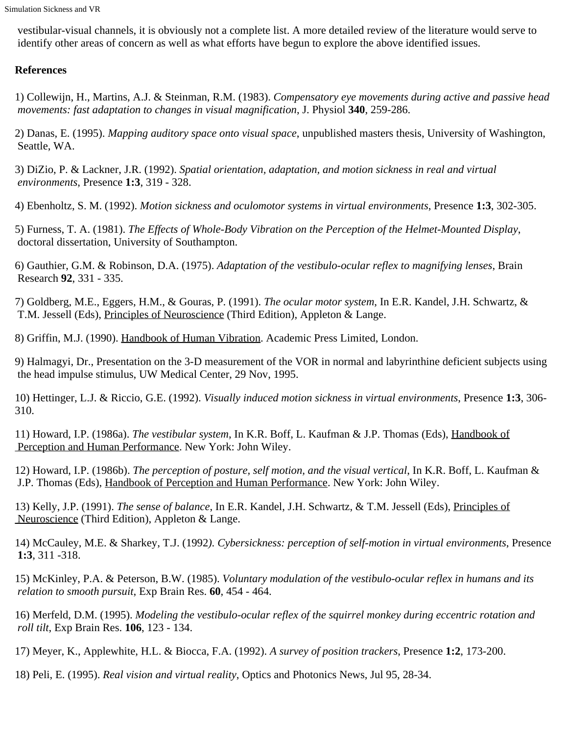vestibular-visual channels, it is obviously not a complete list. A more detailed review of the literature would serve to identify other areas of concern as well as what efforts have begun to explore the above identified issues.

## **References**

1) Collewijn, H., Martins, A.J. & Steinman, R.M. (1983). *Compensatory eye movements during active and passive head movements: fast adaptation to changes in visual magnification*, J. Physiol **340**, 259-286.

2) Danas, E. (1995). *Mapping auditory space onto visual space*, unpublished masters thesis, University of Washington, Seattle, WA.

3) DiZio, P. & Lackner, J.R. (1992). *Spatial orientation, adaptation, and motion sickness in real and virtual environments*, Presence **1:3**, 319 - 328.

4) Ebenholtz, S. M. (1992). *Motion sickness and oculomotor systems in virtual environments*, Presence **1:3**, 302-305.

5) Furness, T. A. (1981). *The Effects of Whole-Body Vibration on the Perception of the Helmet-Mounted Display*, doctoral dissertation, University of Southampton.

6) Gauthier, G.M. & Robinson, D.A. (1975). *Adaptation of the vestibulo-ocular reflex to magnifying lenses*, Brain Research **92**, 331 - 335.

7) Goldberg, M.E., Eggers, H.M., & Gouras, P. (1991). *The ocular motor system*, In E.R. Kandel, J.H. Schwartz, & T.M. Jessell (Eds), Principles of Neuroscience (Third Edition), Appleton & Lange.

8) Griffin, M.J. (1990). Handbook of Human Vibration. Academic Press Limited, London.

9) Halmagyi, Dr., Presentation on the 3-D measurement of the VOR in normal and labyrinthine deficient subjects using the head impulse stimulus, UW Medical Center, 29 Nov, 1995.

10) Hettinger, L.J. & Riccio, G.E. (1992). *Visually induced motion sickness in virtual environments*, Presence **1:3**, 306- 310.

11) Howard, I.P. (1986a). *The vestibular system*, In K.R. Boff, L. Kaufman & J.P. Thomas (Eds), Handbook of Perception and Human Performance. New York: John Wiley.

12) Howard, I.P. (1986b). *The perception of posture, self motion, and the visual vertical*, In K.R. Boff, L. Kaufman & J.P. Thomas (Eds), Handbook of Perception and Human Performance. New York: John Wiley.

13) Kelly, J.P. (1991). *The sense of balance*, In E.R. Kandel, J.H. Schwartz, & T.M. Jessell (Eds), Principles of Neuroscience (Third Edition), Appleton & Lange.

14) McCauley, M.E. & Sharkey, T.J. (1992*). Cybersickness: perception of self-motion in virtual environments*, Presence **1:3**, 311 -318.

15) McKinley, P.A. & Peterson, B.W. (1985). *Voluntary modulation of the vestibulo-ocular reflex in humans and its relation to smooth pursuit*, Exp Brain Res. **60**, 454 - 464.

16) Merfeld, D.M. (1995). *Modeling the vestibulo-ocular reflex of the squirrel monkey during eccentric rotation and roll tilt*, Exp Brain Res. **106**, 123 - 134.

17) Meyer, K., Applewhite, H.L. & Biocca, F.A. (1992). *A survey of position trackers*, Presence **1:2**, 173-200.

18) Peli, E. (1995). *Real vision and virtual reality*, Optics and Photonics News, Jul 95, 28-34.